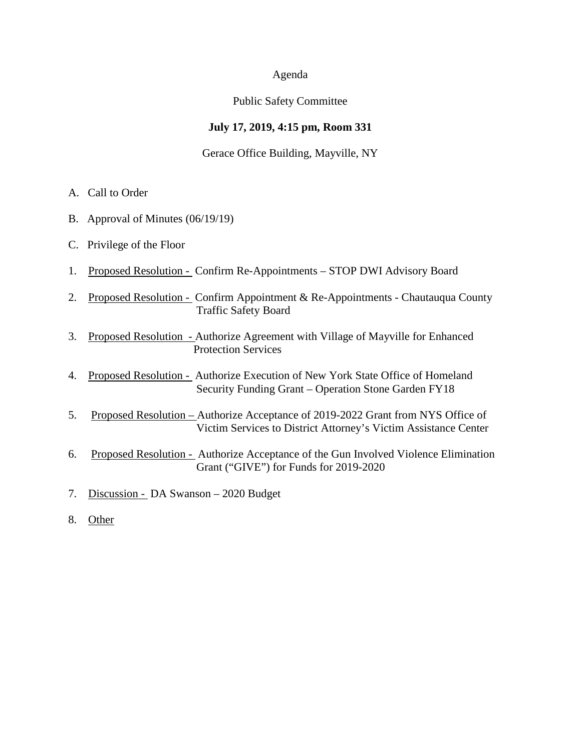#### Agenda

## Public Safety Committee

## **July 17, 2019, 4:15 pm, Room 331**

## Gerace Office Building, Mayville, NY

- A. Call to Order
- B. Approval of Minutes (06/19/19)
- C. Privilege of the Floor
- 1. Proposed Resolution Confirm Re-Appointments STOP DWI Advisory Board
- 2. Proposed Resolution Confirm Appointment & Re-Appointments Chautauqua County Traffic Safety Board
- 3. Proposed Resolution Authorize Agreement with Village of Mayville for Enhanced Protection Services
- 4. Proposed Resolution Authorize Execution of New York State Office of Homeland Security Funding Grant – Operation Stone Garden FY18
- 5. Proposed Resolution Authorize Acceptance of 2019-2022 Grant from NYS Office of Victim Services to District Attorney's Victim Assistance Center
- 6. Proposed Resolution Authorize Acceptance of the Gun Involved Violence Elimination Grant ("GIVE") for Funds for 2019-2020
- 7. Discussion DA Swanson 2020 Budget
- 8. Other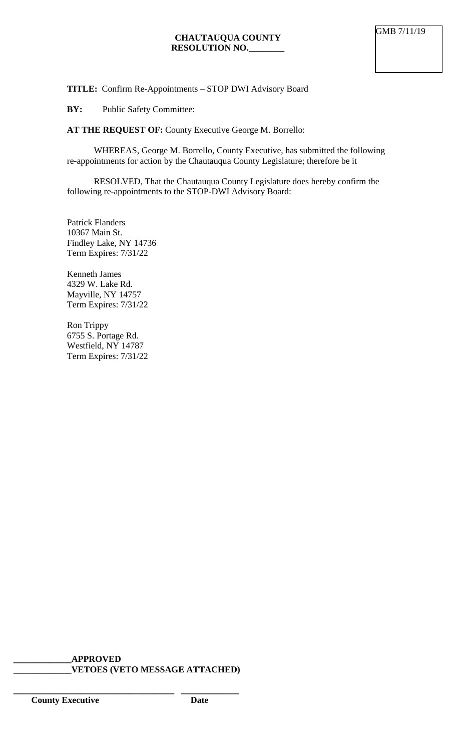## **TITLE:** Confirm Re-Appointments – STOP DWI Advisory Board

## **BY:** Public Safety Committee:

**AT THE REQUEST OF:** County Executive George M. Borrello:

WHEREAS, George M. Borrello, County Executive, has submitted the following re-appointments for action by the Chautauqua County Legislature; therefore be it

RESOLVED, That the Chautauqua County Legislature does hereby confirm the following re-appointments to the STOP-DWI Advisory Board:

Patrick Flanders 10367 Main St. Findley Lake, NY 14736 Term Expires: 7/31/22

Kenneth James 4329 W. Lake Rd. Mayville, NY 14757 Term Expires: 7/31/22

Ron Trippy 6755 S. Portage Rd. Westfield, NY 14787 Term Expires: 7/31/22

**\_\_\_\_\_\_\_\_\_\_\_\_\_APPROVED \_\_\_\_\_\_\_\_\_\_\_\_\_VETOES (VETO MESSAGE ATTACHED)**

**\_\_\_\_\_\_\_\_\_\_\_\_\_\_\_\_\_\_\_\_\_\_\_\_\_\_\_\_\_\_\_\_\_\_\_\_ \_\_\_\_\_\_\_\_\_\_\_\_\_**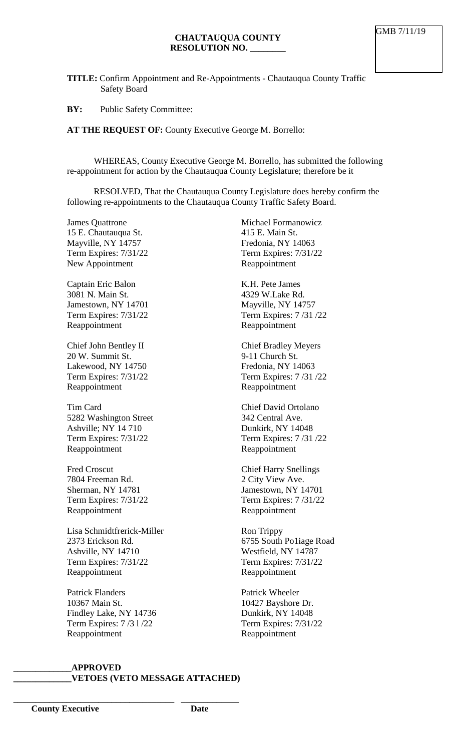**TITLE:** Confirm Appointment and Re-Appointments - Chautauqua County Traffic Safety Board

**BY:** Public Safety Committee:

**AT THE REQUEST OF:** County Executive George M. Borrello:

WHEREAS, County Executive George M. Borrello, has submitted the following re-appointment for action by the Chautauqua County Legislature; therefore be it

RESOLVED, That the Chautauqua County Legislature does hereby confirm the following re-appointments to the Chautauqua County Traffic Safety Board.

James Quattrone 15 E. Chautauqua St. Mayville, NY 14757 Term Expires: 7/31/22 New Appointment

Captain Eric Balon 3081 N. Main St. Jamestown, NY 14701 Term Expires: 7/31/22 Reappointment

Chief John Bentley II 20 W. Summit St. Lakewood, NY 14750 Term Expires: 7/31/22 Reappointment

Tim Card 5282 Washington Street Ashville; NY 14 710 Term Expires: 7/31/22 Reappointment

Fred Croscut 7804 Freeman Rd. Sherman, NY 14781 Term Expires: 7/31/22 Reappointment

Lisa Schmidtfrerick-Miller 2373 Erickson Rd. Ashville, NY 14710 Term Expires: 7/31/22 Reappointment

Patrick Flanders 10367 Main St. Findley Lake, NY 14736 Term Expires: 7 /3 l /22 Reappointment

**\_\_\_\_\_\_\_\_\_\_\_\_\_\_\_\_\_\_\_\_\_\_\_\_\_\_\_\_\_\_\_\_\_\_\_\_ \_\_\_\_\_\_\_\_\_\_\_\_\_**

Michael Formanowicz 415 E. Main St. Fredonia, NY 14063 Term Expires: 7/31/22 Reappointment

K.H. Pete James 4329 W.Lake Rd. Mayville, NY 14757 Term Expires: 7 /31 /22 Reappointment

Chief Bradley Meyers 9-11 Church St. Fredonia, NY 14063 Term Expires: 7 /31 /22 Reappointment

Chief David Ortolano 342 Central Ave. Dunkirk, NY 14048 Term Expires: 7 /31 /22 Reappointment

Chief Harry Snellings 2 City View Ave. Jamestown, NY 14701 Term Expires: 7 /31/22 Reappointment

Ron Trippy 6755 South Po1iage Road Westfield, NY 14787 Term Expires: 7/31/22 Reappointment

Patrick Wheeler 10427 Bayshore Dr. Dunkirk, NY 14048 Term Expires: 7/31/22 Reappointment

### **\_\_\_\_\_\_\_\_\_\_\_\_\_APPROVED \_\_\_\_\_\_\_\_\_\_\_\_\_VETOES (VETO MESSAGE ATTACHED)**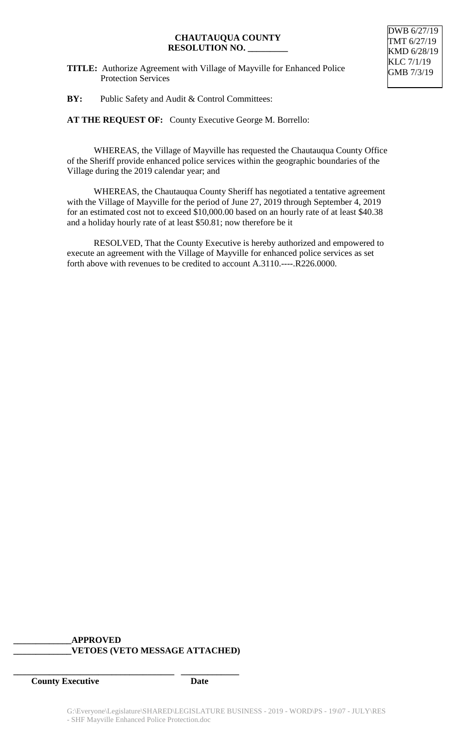#### **CHAUTAUQUA COUNTY RESOLUTION NO. \_\_\_\_\_\_\_\_\_**

**TITLE:** Authorize Agreement with Village of Mayville for Enhanced Police Protection Services

**BY:** Public Safety and Audit & Control Committees:

**AT THE REQUEST OF:** County Executive George M. Borrello:

WHEREAS, the Village of Mayville has requested the Chautauqua County Office of the Sheriff provide enhanced police services within the geographic boundaries of the Village during the 2019 calendar year; and

WHEREAS, the Chautauqua County Sheriff has negotiated a tentative agreement with the Village of Mayville for the period of June 27, 2019 through September 4, 2019 for an estimated cost not to exceed \$10,000.00 based on an hourly rate of at least \$40.38 and a holiday hourly rate of at least \$50.81; now therefore be it

RESOLVED, That the County Executive is hereby authorized and empowered to execute an agreement with the Village of Mayville for enhanced police services as set forth above with revenues to be credited to account A.3110.----.R226.0000.

## **\_\_\_\_\_\_\_\_\_\_\_\_\_APPROVED \_\_\_\_\_\_\_\_\_\_\_\_\_VETOES (VETO MESSAGE ATTACHED)**

**\_\_\_\_\_\_\_\_\_\_\_\_\_\_\_\_\_\_\_\_\_\_\_\_\_\_\_\_\_\_\_\_\_\_\_\_ \_\_\_\_\_\_\_\_\_\_\_\_\_**

*County Executive* Date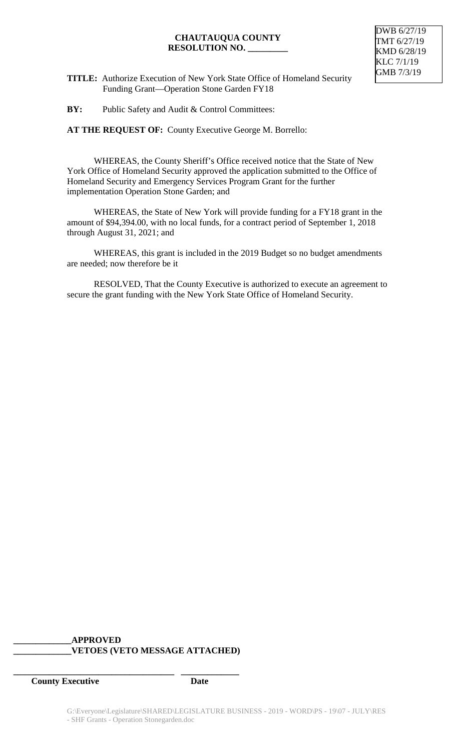#### **CHAUTAUQUA COUNTY RESOLUTION NO. \_\_\_\_\_\_\_\_\_**



**TITLE:** Authorize Execution of New York State Office of Homeland Security Funding Grant—Operation Stone Garden FY18

**BY:** Public Safety and Audit & Control Committees:

**AT THE REQUEST OF:** County Executive George M. Borrello:

WHEREAS, the County Sheriff's Office received notice that the State of New York Office of Homeland Security approved the application submitted to the Office of Homeland Security and Emergency Services Program Grant for the further implementation Operation Stone Garden; and

WHEREAS, the State of New York will provide funding for a FY18 grant in the amount of \$94,394.00, with no local funds, for a contract period of September 1, 2018 through August 31, 2021; and

WHEREAS, this grant is included in the 2019 Budget so no budget amendments are needed; now therefore be it

RESOLVED, That the County Executive is authorized to execute an agreement to secure the grant funding with the New York State Office of Homeland Security.

## **\_\_\_\_\_\_\_\_\_\_\_\_\_APPROVED \_\_\_\_\_\_\_\_\_\_\_\_\_VETOES (VETO MESSAGE ATTACHED)**

**\_\_\_\_\_\_\_\_\_\_\_\_\_\_\_\_\_\_\_\_\_\_\_\_\_\_\_\_\_\_\_\_\_\_\_\_ \_\_\_\_\_\_\_\_\_\_\_\_\_**

*County Executive* Date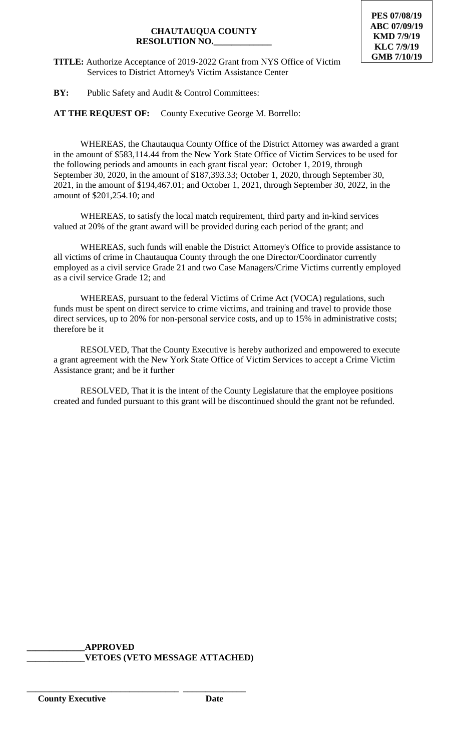## **CHAUTAUQUA COUNTY RESOLUTION NO.\_\_\_\_\_\_\_\_\_\_\_\_\_**

**TITLE:** Authorize Acceptance of 2019-2022 Grant from NYS Office of Victim Services to District Attorney's Victim Assistance Center

**BY:** Public Safety and Audit & Control Committees:

**AT THE REQUEST OF:** County Executive George M. Borrello:

WHEREAS, the Chautauqua County Office of the District Attorney was awarded a grant in the amount of \$583,114.44 from the New York State Office of Victim Services to be used for the following periods and amounts in each grant fiscal year: October 1, 2019, through September 30, 2020, in the amount of \$187,393.33; October 1, 2020, through September 30, 2021, in the amount of \$194,467.01; and October 1, 2021, through September 30, 2022, in the amount of \$201,254.10; and

WHEREAS, to satisfy the local match requirement, third party and in-kind services valued at 20% of the grant award will be provided during each period of the grant; and

WHEREAS, such funds will enable the District Attorney's Office to provide assistance to all victims of crime in Chautauqua County through the one Director/Coordinator currently employed as a civil service Grade 21 and two Case Managers/Crime Victims currently employed as a civil service Grade 12; and

WHEREAS, pursuant to the federal Victims of Crime Act (VOCA) regulations, such funds must be spent on direct service to crime victims, and training and travel to provide those direct services, up to 20% for non-personal service costs, and up to 15% in administrative costs; therefore be it

RESOLVED, That the County Executive is hereby authorized and empowered to execute a grant agreement with the New York State Office of Victim Services to accept a Crime Victim Assistance grant; and be it further

RESOLVED, That it is the intent of the County Legislature that the employee positions created and funded pursuant to this grant will be discontinued should the grant not be refunded.

**\_\_\_\_\_\_\_\_\_\_\_\_\_APPROVED \_\_\_\_\_\_\_\_\_\_\_\_\_VETOES (VETO MESSAGE ATTACHED)**

\_\_\_\_\_\_\_\_\_\_\_\_\_\_\_\_\_\_\_\_\_\_\_\_\_\_\_\_\_\_\_\_\_\_ \_\_\_\_\_\_\_\_\_\_\_\_\_\_